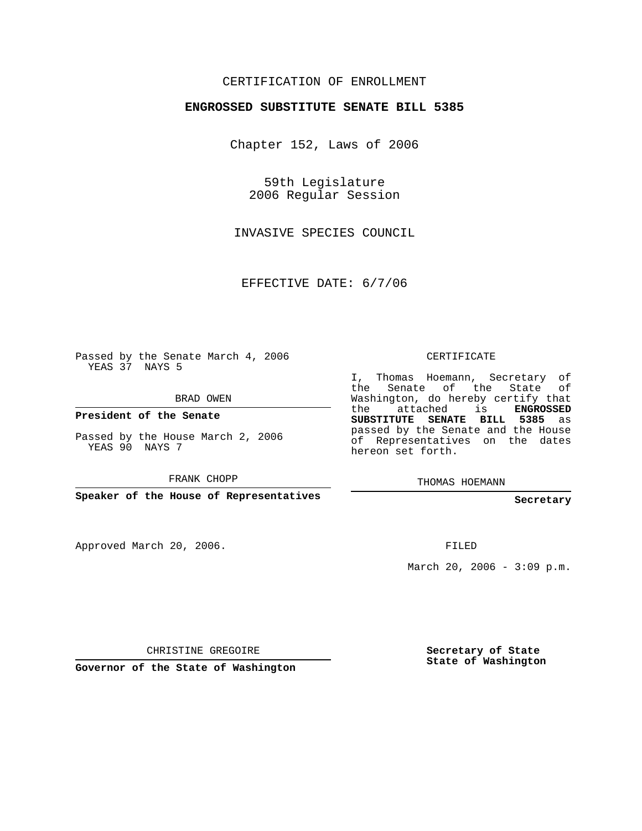## CERTIFICATION OF ENROLLMENT

## **ENGROSSED SUBSTITUTE SENATE BILL 5385**

Chapter 152, Laws of 2006

59th Legislature 2006 Regular Session

INVASIVE SPECIES COUNCIL

EFFECTIVE DATE: 6/7/06

Passed by the Senate March 4, 2006 YEAS 37 NAYS 5

BRAD OWEN

**President of the Senate**

Passed by the House March 2, 2006 YEAS 90 NAYS 7

FRANK CHOPP

**Speaker of the House of Representatives**

Approved March 20, 2006.

CERTIFICATE

I, Thomas Hoemann, Secretary of the Senate of the State of Washington, do hereby certify that the attached is **ENGROSSED SUBSTITUTE SENATE BILL 5385** as passed by the Senate and the House of Representatives on the dates hereon set forth.

THOMAS HOEMANN

**Secretary**

FILED

March 20, 2006 -  $3:09$  p.m.

CHRISTINE GREGOIRE

**Governor of the State of Washington**

**Secretary of State State of Washington**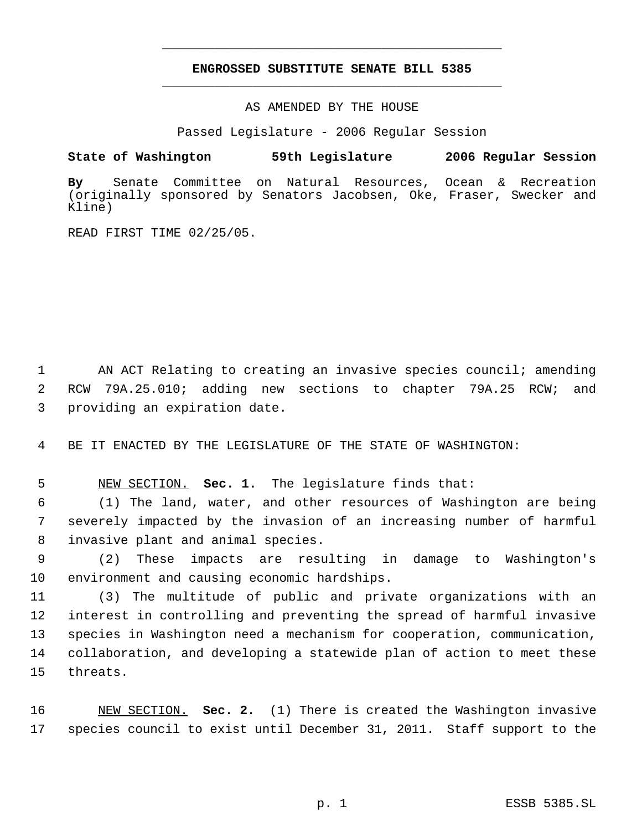## **ENGROSSED SUBSTITUTE SENATE BILL 5385** \_\_\_\_\_\_\_\_\_\_\_\_\_\_\_\_\_\_\_\_\_\_\_\_\_\_\_\_\_\_\_\_\_\_\_\_\_\_\_\_\_\_\_\_\_

\_\_\_\_\_\_\_\_\_\_\_\_\_\_\_\_\_\_\_\_\_\_\_\_\_\_\_\_\_\_\_\_\_\_\_\_\_\_\_\_\_\_\_\_\_

AS AMENDED BY THE HOUSE

Passed Legislature - 2006 Regular Session

## **State of Washington 59th Legislature 2006 Regular Session**

**By** Senate Committee on Natural Resources, Ocean & Recreation (originally sponsored by Senators Jacobsen, Oke, Fraser, Swecker and Kline)

READ FIRST TIME 02/25/05.

1 AN ACT Relating to creating an invasive species council; amending 2 RCW 79A.25.010; adding new sections to chapter 79A.25 RCW; and 3 providing an expiration date.

4 BE IT ENACTED BY THE LEGISLATURE OF THE STATE OF WASHINGTON:

5 NEW SECTION. **Sec. 1.** The legislature finds that:

 6 (1) The land, water, and other resources of Washington are being 7 severely impacted by the invasion of an increasing number of harmful 8 invasive plant and animal species.

 9 (2) These impacts are resulting in damage to Washington's 10 environment and causing economic hardships.

 (3) The multitude of public and private organizations with an interest in controlling and preventing the spread of harmful invasive species in Washington need a mechanism for cooperation, communication, collaboration, and developing a statewide plan of action to meet these 15 threats.

16 NEW SECTION. **Sec. 2.** (1) There is created the Washington invasive 17 species council to exist until December 31, 2011. Staff support to the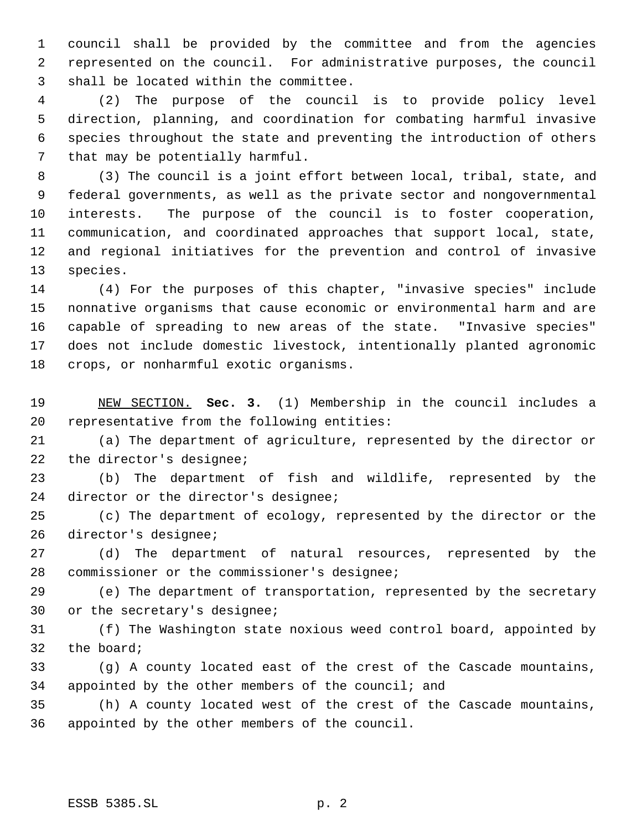council shall be provided by the committee and from the agencies represented on the council. For administrative purposes, the council shall be located within the committee.

 (2) The purpose of the council is to provide policy level direction, planning, and coordination for combating harmful invasive species throughout the state and preventing the introduction of others that may be potentially harmful.

 (3) The council is a joint effort between local, tribal, state, and federal governments, as well as the private sector and nongovernmental interests. The purpose of the council is to foster cooperation, communication, and coordinated approaches that support local, state, and regional initiatives for the prevention and control of invasive species.

 (4) For the purposes of this chapter, "invasive species" include nonnative organisms that cause economic or environmental harm and are capable of spreading to new areas of the state. "Invasive species" does not include domestic livestock, intentionally planted agronomic crops, or nonharmful exotic organisms.

 NEW SECTION. **Sec. 3.** (1) Membership in the council includes a representative from the following entities:

 (a) The department of agriculture, represented by the director or the director's designee;

 (b) The department of fish and wildlife, represented by the director or the director's designee;

 (c) The department of ecology, represented by the director or the director's designee;

 (d) The department of natural resources, represented by the commissioner or the commissioner's designee;

 (e) The department of transportation, represented by the secretary or the secretary's designee;

 (f) The Washington state noxious weed control board, appointed by the board;

 (g) A county located east of the crest of the Cascade mountains, appointed by the other members of the council; and

 (h) A county located west of the crest of the Cascade mountains, appointed by the other members of the council.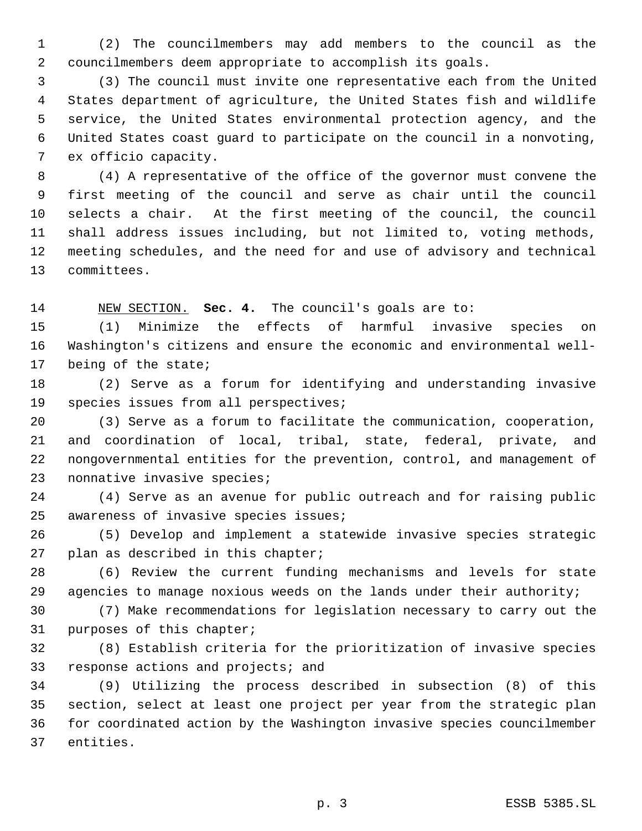(2) The councilmembers may add members to the council as the councilmembers deem appropriate to accomplish its goals.

 (3) The council must invite one representative each from the United States department of agriculture, the United States fish and wildlife service, the United States environmental protection agency, and the United States coast guard to participate on the council in a nonvoting, ex officio capacity.

 (4) A representative of the office of the governor must convene the first meeting of the council and serve as chair until the council selects a chair. At the first meeting of the council, the council shall address issues including, but not limited to, voting methods, meeting schedules, and the need for and use of advisory and technical committees.

NEW SECTION. **Sec. 4.** The council's goals are to:

 (1) Minimize the effects of harmful invasive species on Washington's citizens and ensure the economic and environmental well-being of the state;

 (2) Serve as a forum for identifying and understanding invasive species issues from all perspectives;

 (3) Serve as a forum to facilitate the communication, cooperation, and coordination of local, tribal, state, federal, private, and nongovernmental entities for the prevention, control, and management of nonnative invasive species;

 (4) Serve as an avenue for public outreach and for raising public awareness of invasive species issues;

 (5) Develop and implement a statewide invasive species strategic plan as described in this chapter;

 (6) Review the current funding mechanisms and levels for state agencies to manage noxious weeds on the lands under their authority;

 (7) Make recommendations for legislation necessary to carry out the purposes of this chapter;

 (8) Establish criteria for the prioritization of invasive species response actions and projects; and

 (9) Utilizing the process described in subsection (8) of this section, select at least one project per year from the strategic plan for coordinated action by the Washington invasive species councilmember entities.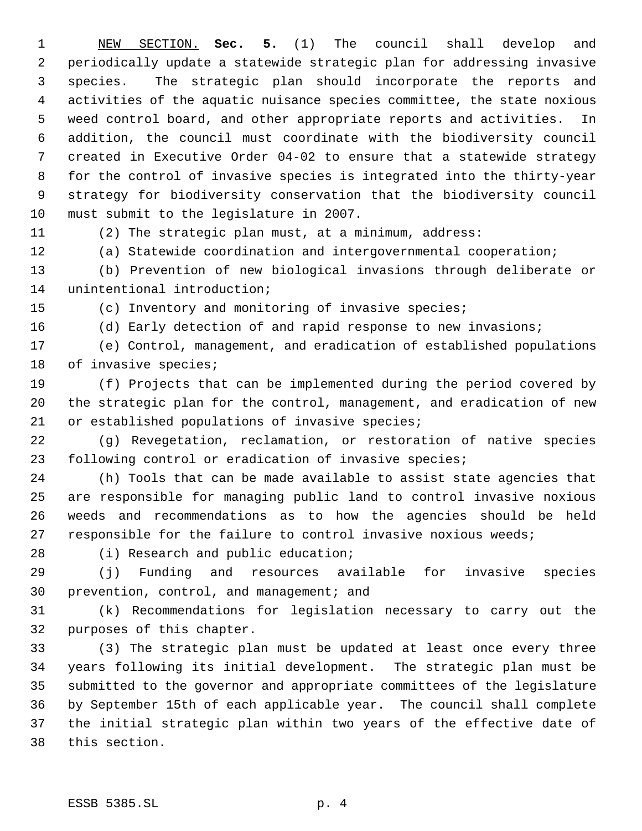NEW SECTION. **Sec. 5.** (1) The council shall develop and periodically update a statewide strategic plan for addressing invasive species. The strategic plan should incorporate the reports and activities of the aquatic nuisance species committee, the state noxious weed control board, and other appropriate reports and activities. In addition, the council must coordinate with the biodiversity council created in Executive Order 04-02 to ensure that a statewide strategy for the control of invasive species is integrated into the thirty-year strategy for biodiversity conservation that the biodiversity council must submit to the legislature in 2007.

(2) The strategic plan must, at a minimum, address:

(a) Statewide coordination and intergovernmental cooperation;

 (b) Prevention of new biological invasions through deliberate or unintentional introduction;

(c) Inventory and monitoring of invasive species;

(d) Early detection of and rapid response to new invasions;

 (e) Control, management, and eradication of established populations of invasive species;

 (f) Projects that can be implemented during the period covered by the strategic plan for the control, management, and eradication of new or established populations of invasive species;

 (g) Revegetation, reclamation, or restoration of native species following control or eradication of invasive species;

 (h) Tools that can be made available to assist state agencies that are responsible for managing public land to control invasive noxious weeds and recommendations as to how the agencies should be held responsible for the failure to control invasive noxious weeds;

28 (i) Research and public education;

 (j) Funding and resources available for invasive species prevention, control, and management; and

 (k) Recommendations for legislation necessary to carry out the purposes of this chapter.

 (3) The strategic plan must be updated at least once every three years following its initial development. The strategic plan must be submitted to the governor and appropriate committees of the legislature by September 15th of each applicable year. The council shall complete the initial strategic plan within two years of the effective date of this section.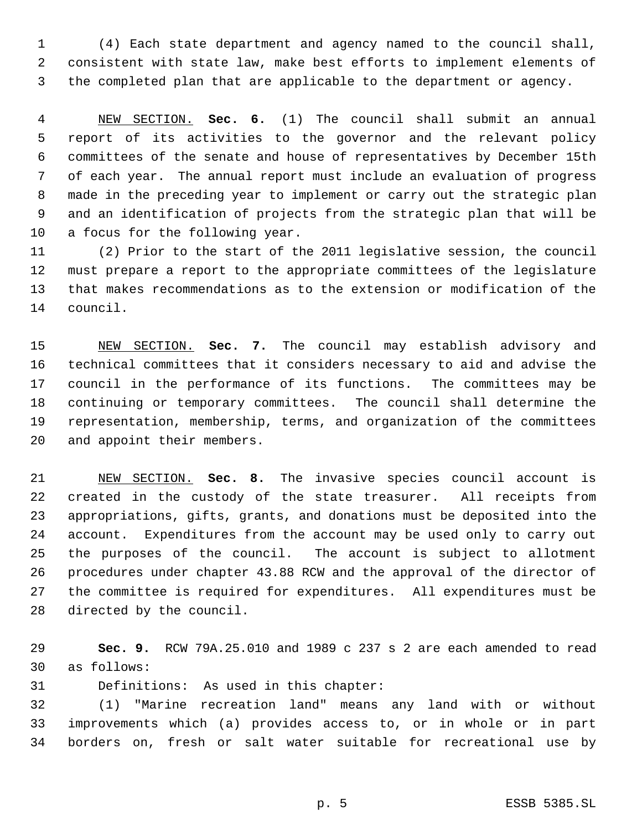(4) Each state department and agency named to the council shall, consistent with state law, make best efforts to implement elements of the completed plan that are applicable to the department or agency.

 NEW SECTION. **Sec. 6.** (1) The council shall submit an annual report of its activities to the governor and the relevant policy committees of the senate and house of representatives by December 15th of each year. The annual report must include an evaluation of progress made in the preceding year to implement or carry out the strategic plan and an identification of projects from the strategic plan that will be a focus for the following year.

 (2) Prior to the start of the 2011 legislative session, the council must prepare a report to the appropriate committees of the legislature that makes recommendations as to the extension or modification of the council.

 NEW SECTION. **Sec. 7.** The council may establish advisory and technical committees that it considers necessary to aid and advise the council in the performance of its functions. The committees may be continuing or temporary committees. The council shall determine the representation, membership, terms, and organization of the committees and appoint their members.

 NEW SECTION. **Sec. 8.** The invasive species council account is created in the custody of the state treasurer. All receipts from appropriations, gifts, grants, and donations must be deposited into the account. Expenditures from the account may be used only to carry out the purposes of the council. The account is subject to allotment procedures under chapter 43.88 RCW and the approval of the director of the committee is required for expenditures. All expenditures must be directed by the council.

 **Sec. 9.** RCW 79A.25.010 and 1989 c 237 s 2 are each amended to read as follows:

Definitions: As used in this chapter:

 (1) "Marine recreation land" means any land with or without improvements which (a) provides access to, or in whole or in part borders on, fresh or salt water suitable for recreational use by